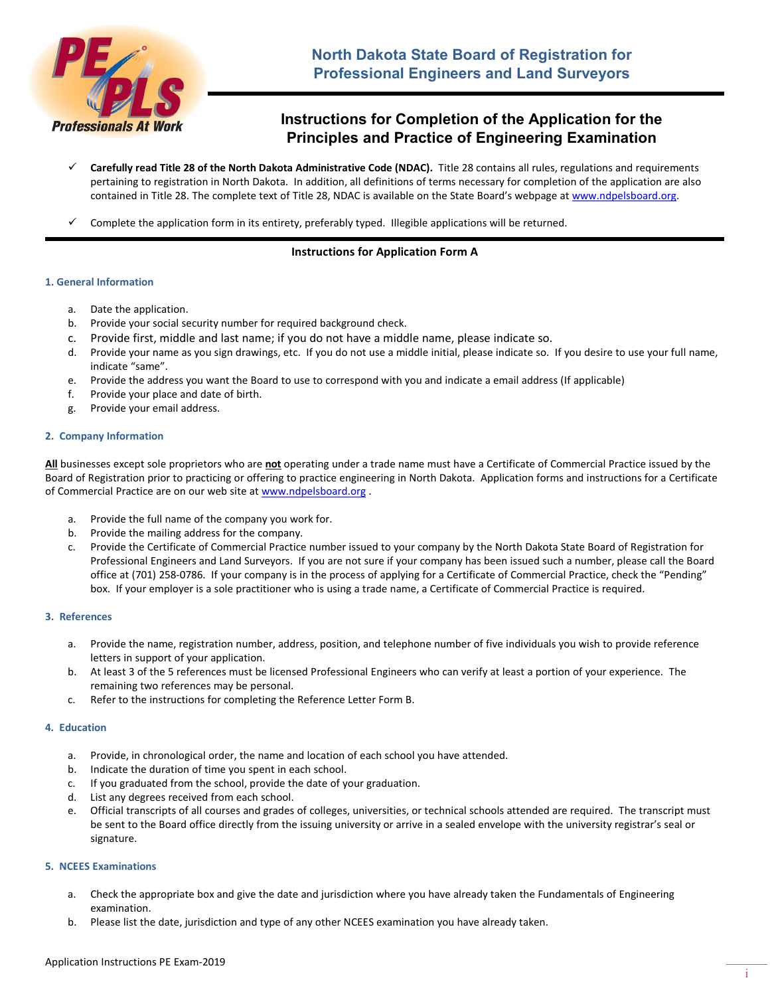

## **Instructions for Completion of the Application for the Principles and Practice of Engineering Examination**

- **Carefully read Title 28 of the North Dakota Administrative Code (NDAC).** Title 28 contains all rules, regulations and requirements pertaining to registration in North Dakota. In addition, all definitions of terms necessary for completion of the application are also contained in Title 28. The complete text of Title 28, NDAC is available on the State Board's webpage at [www.ndpelsboard.org.](http://www.ndpelsboard.org/)
- $\checkmark$  Complete the application form in its entirety, preferably typed. Illegible applications will be returned.

#### **Instructions for Application Form A**

#### **1. General Information**

- a. Date the application.
- b. Provide your social security number for required background check.
- c. Provide first, middle and last name; if you do not have a middle name, please indicate so.
- d. Provide your name as you sign drawings, etc. If you do not use a middle initial, please indicate so. If you desire to use your full name, indicate "same".
- e. Provide the address you want the Board to use to correspond with you and indicate a email address (If applicable)
- f. Provide your place and date of birth.
- g. Provide your email address.

#### **2. Company Information**

**All** businesses except sole proprietors who are **not** operating under a trade name must have a Certificate of Commercial Practice issued by the Board of Registration prior to practicing or offering to practice engineering in North Dakota. Application forms and instructions for a Certificate of Commercial Practice are on our web site at [www.ndpelsboard.org](http://www.ndpelsboard.org/) .

- a. Provide the full name of the company you work for.
- b. Provide the mailing address for the company.
- c. Provide the Certificate of Commercial Practice number issued to your company by the North Dakota State Board of Registration for Professional Engineers and Land Surveyors. If you are not sure if your company has been issued such a number, please call the Board office at (701) 258-0786. If your company is in the process of applying for a Certificate of Commercial Practice, check the "Pending" box. If your employer is a sole practitioner who is using a trade name, a Certificate of Commercial Practice is required.

#### **3. References**

- a. Provide the name, registration number, address, position, and telephone number of five individuals you wish to provide reference letters in support of your application.
- b. At least 3 of the 5 references must be licensed Professional Engineers who can verify at least a portion of your experience. The remaining two references may be personal.
- c. Refer to the instructions for completing the Reference Letter Form B.

#### **4. Education**

- a. Provide, in chronological order, the name and location of each school you have attended.
- b. Indicate the duration of time you spent in each school.
- c. If you graduated from the school, provide the date of your graduation.
- d. List any degrees received from each school.
- e. Official transcripts of all courses and grades of colleges, universities, or technical schools attended are required. The transcript must be sent to the Board office directly from the issuing university or arrive in a sealed envelope with the university registrar's seal or signature.

#### **5. NCEES Examinations**

- a. Check the appropriate box and give the date and jurisdiction where you have already taken the Fundamentals of Engineering examination.
- b. Please list the date, jurisdiction and type of any other NCEES examination you have already taken.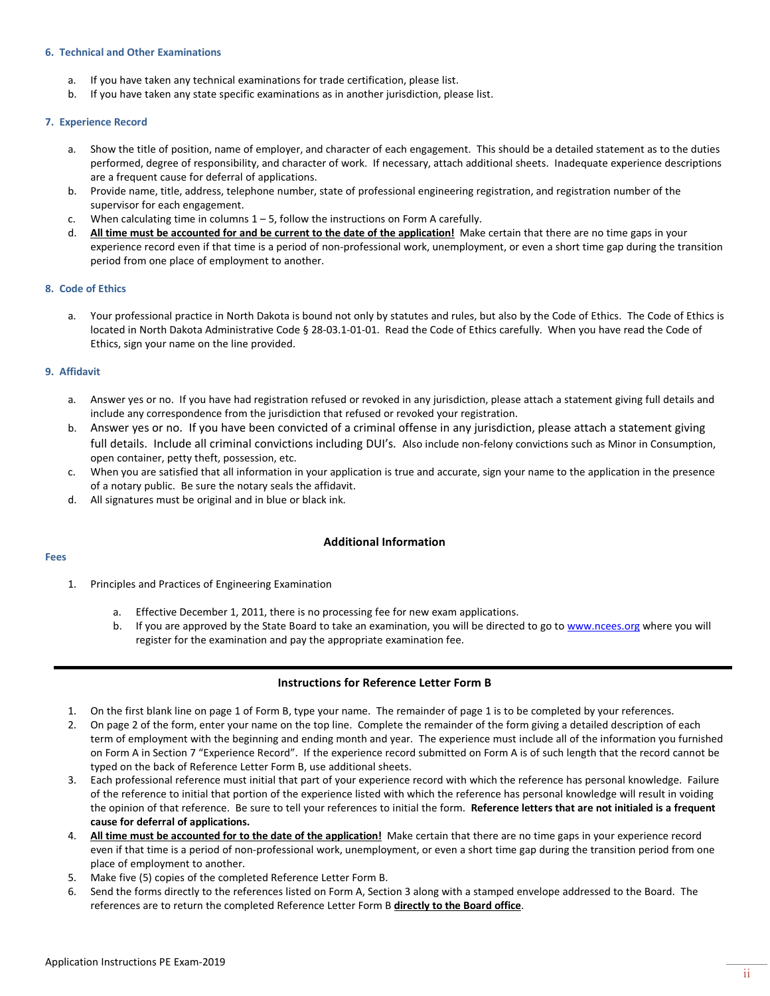#### **6. Technical and Other Examinations**

- a. If you have taken any technical examinations for trade certification, please list.
- b. If you have taken any state specific examinations as in another jurisdiction, please list.

#### **7. Experience Record**

- a. Show the title of position, name of employer, and character of each engagement. This should be a detailed statement as to the duties performed, degree of responsibility, and character of work. If necessary, attach additional sheets. Inadequate experience descriptions are a frequent cause for deferral of applications.
- b. Provide name, title, address, telephone number, state of professional engineering registration, and registration number of the supervisor for each engagement.
- c. When calculating time in columns  $1 5$ , follow the instructions on Form A carefully.
- d. **All time must be accounted for and be current to the date of the application!** Make certain that there are no time gaps in your experience record even if that time is a period of non-professional work, unemployment, or even a short time gap during the transition period from one place of employment to another.

#### **8. Code of Ethics**

a. Your professional practice in North Dakota is bound not only by statutes and rules, but also by the Code of Ethics. The Code of Ethics is located in North Dakota Administrative Code § 28-03.1-01-01. Read the Code of Ethics carefully. When you have read the Code of Ethics, sign your name on the line provided.

#### **9. Affidavit**

- a. Answer yes or no. If you have had registration refused or revoked in any jurisdiction, please attach a statement giving full details and include any correspondence from the jurisdiction that refused or revoked your registration.
- b. Answer yes or no. If you have been convicted of a criminal offense in any jurisdiction, please attach a statement giving full details. Include all criminal convictions including DUI's. Also include non-felony convictions such as Minor in Consumption, open container, petty theft, possession, etc.
- c. When you are satisfied that all information in your application is true and accurate, sign your name to the application in the presence of a notary public. Be sure the notary seals the affidavit.
- d. All signatures must be original and in blue or black ink.

#### **Additional Information**

#### **Fees**

- 1. Principles and Practices of Engineering Examination
	- a. Effective December 1, 2011, there is no processing fee for new exam applications.
	- b. If you are approved by the State Board to take an examination, you will be directed to go t[o www.ncees.org](http://www.ncees.org/) where you will register for the examination and pay the appropriate examination fee.

## **Instructions for Reference Letter Form B**

- 1. On the first blank line on page 1 of Form B, type your name. The remainder of page 1 is to be completed by your references.
- 2. On page 2 of the form, enter your name on the top line. Complete the remainder of the form giving a detailed description of each term of employment with the beginning and ending month and year. The experience must include all of the information you furnished on Form A in Section 7 "Experience Record". If the experience record submitted on Form A is of such length that the record cannot be typed on the back of Reference Letter Form B, use additional sheets.
- 3. Each professional reference must initial that part of your experience record with which the reference has personal knowledge. Failure of the reference to initial that portion of the experience listed with which the reference has personal knowledge will result in voiding the opinion of that reference. Be sure to tell your references to initial the form. **Reference letters that are not initialed is a frequent cause for deferral of applications.**
- 4. **All time must be accounted for to the date of the application!** Make certain that there are no time gaps in your experience record even if that time is a period of non-professional work, unemployment, or even a short time gap during the transition period from one place of employment to another.
- 5. Make five (5) copies of the completed Reference Letter Form B.
- 6. Send the forms directly to the references listed on Form A, Section 3 along with a stamped envelope addressed to the Board. The references are to return the completed Reference Letter Form B **directly to the Board office**.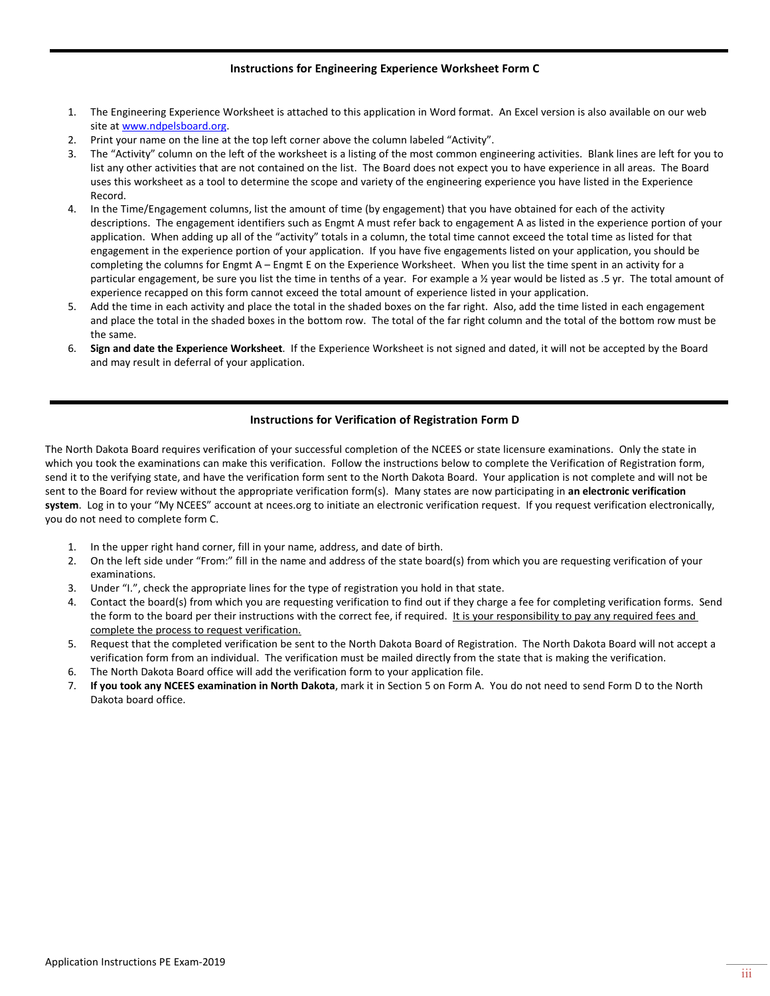#### **Instructions for Engineering Experience Worksheet Form C**

- 1. The Engineering Experience Worksheet is attached to this application in Word format. An Excel version is also available on our web site at [www.ndpelsboard.org.](http://www.ndpelsboard.org/)
- 2. Print your name on the line at the top left corner above the column labeled "Activity".
- 3. The "Activity" column on the left of the worksheet is a listing of the most common engineering activities. Blank lines are left for you to list any other activities that are not contained on the list. The Board does not expect you to have experience in all areas. The Board uses this worksheet as a tool to determine the scope and variety of the engineering experience you have listed in the Experience Record.
- 4. In the Time/Engagement columns, list the amount of time (by engagement) that you have obtained for each of the activity descriptions. The engagement identifiers such as Engmt A must refer back to engagement A as listed in the experience portion of your application. When adding up all of the "activity" totals in a column, the total time cannot exceed the total time as listed for that engagement in the experience portion of your application. If you have five engagements listed on your application, you should be completing the columns for Engmt A – Engmt E on the Experience Worksheet. When you list the time spent in an activity for a particular engagement, be sure you list the time in tenths of a year. For example a % year would be listed as .5 yr. The total amount of experience recapped on this form cannot exceed the total amount of experience listed in your application.
- 5. Add the time in each activity and place the total in the shaded boxes on the far right. Also, add the time listed in each engagement and place the total in the shaded boxes in the bottom row. The total of the far right column and the total of the bottom row must be the same.
- 6. **Sign and date the Experience Worksheet**. If the Experience Worksheet is not signed and dated, it will not be accepted by the Board and may result in deferral of your application.

#### **Instructions for Verification of Registration Form D**

The North Dakota Board requires verification of your successful completion of the NCEES or state licensure examinations. Only the state in which you took the examinations can make this verification. Follow the instructions below to complete the Verification of Registration form, send it to the verifying state, and have the verification form sent to the North Dakota Board. Your application is not complete and will not be sent to the Board for review without the appropriate verification form(s). Many states are now participating in **an electronic verification system**. Log in to your "My NCEES" account at ncees.org to initiate an electronic verification request. If you request verification electronically, you do not need to complete form C.

- 1. In the upper right hand corner, fill in your name, address, and date of birth.
- 2. On the left side under "From:" fill in the name and address of the state board(s) from which you are requesting verification of your examinations.
- 3. Under "I.", check the appropriate lines for the type of registration you hold in that state.
- 4. Contact the board(s) from which you are requesting verification to find out if they charge a fee for completing verification forms. Send the form to the board per their instructions with the correct fee, if required. It is your responsibility to pay any required fees and complete the process to request verification.
- 5. Request that the completed verification be sent to the North Dakota Board of Registration. The North Dakota Board will not accept a verification form from an individual. The verification must be mailed directly from the state that is making the verification.
- 6. The North Dakota Board office will add the verification form to your application file.
- 7. **If you took any NCEES examination in North Dakota**, mark it in Section 5 on Form A. You do not need to send Form D to the North Dakota board office.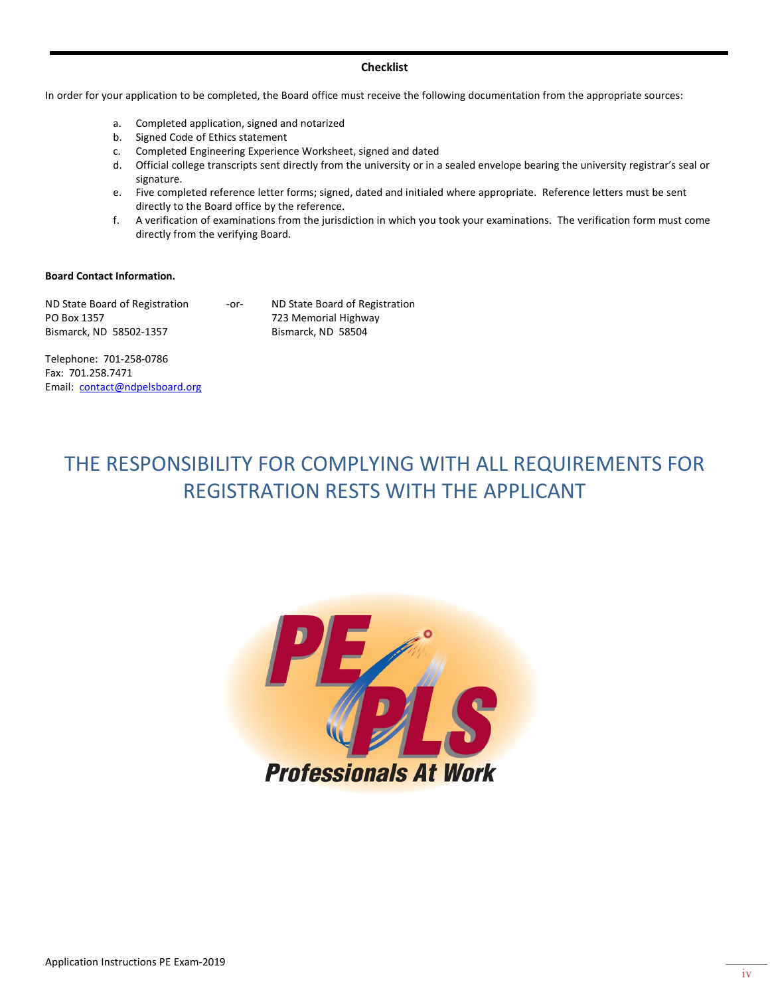#### **Checklist**

In order for your application to be completed, the Board office must receive the following documentation from the appropriate sources:

- a. Completed application, signed and notarized
- b. Signed Code of Ethics statement
- c. Completed Engineering Experience Worksheet, signed and dated
- d. Official college transcripts sent directly from the university or in a sealed envelope bearing the university registrar's seal or signature.
- e. Five completed reference letter forms; signed, dated and initialed where appropriate. Reference letters must be sent directly to the Board office by the reference.
- f. A verification of examinations from the jurisdiction in which you took your examinations. The verification form must come directly from the verifying Board.

#### **Board Contact Information.**

ND State Board of Registration -or- ND State Board of Registration PO Box 1357 The Box 1357 Contract of the Box 1357 Bismarck, ND 58502-1357 Bismarck, ND 58504

Telephone: 701-258-0786 Fax: 701.258.7471 Email: [contact@ndpelsboard.org](mailto:contact@ndpelsboard.org)

# THE RESPONSIBILITY FOR COMPLYING WITH ALL REQUIREMENTS FOR REGISTRATION RESTS WITH THE APPLICANT

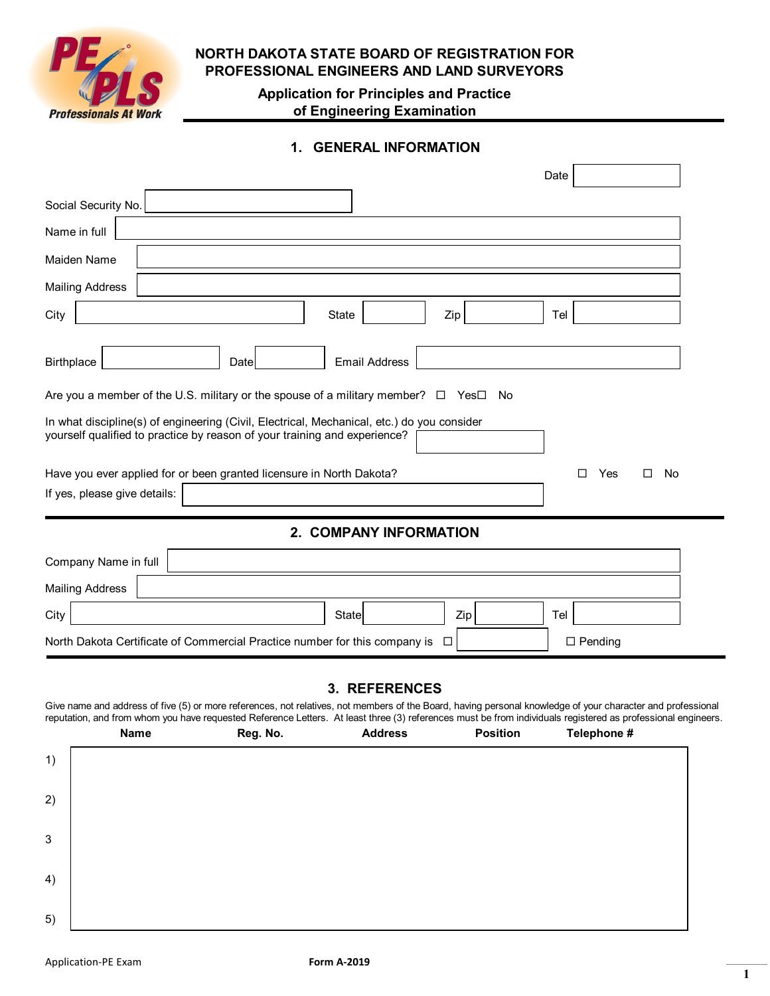

## **NORTH DAKOTA STATE BOARD OF REGISTRATION FOR PROFESSIONAL ENGINEERS AND LAND SURVEYORS**

**Application for Principles and Practice of Engineering Examination**

## **1. GENERAL INFORMATION**

|                                                                                                                                                                                                                                                                           | Date                |
|---------------------------------------------------------------------------------------------------------------------------------------------------------------------------------------------------------------------------------------------------------------------------|---------------------|
| Social Security No.                                                                                                                                                                                                                                                       |                     |
| Name in full                                                                                                                                                                                                                                                              |                     |
| Maiden Name                                                                                                                                                                                                                                                               |                     |
| <b>Mailing Address</b>                                                                                                                                                                                                                                                    |                     |
| City<br>State<br>Zip <sup>'</sup>                                                                                                                                                                                                                                         | Tel                 |
| <b>Email Address</b><br><b>Birthplace</b><br>Datel                                                                                                                                                                                                                        |                     |
| Are you a member of the U.S. military or the spouse of a military member? $\Box$ Yes $\Box$ No<br>In what discipline(s) of engineering (Civil, Electrical, Mechanical, etc.) do you consider<br>yourself qualified to practice by reason of your training and experience? |                     |
| Have you ever applied for or been granted licensure in North Dakota?                                                                                                                                                                                                      | Yes<br>П<br>No<br>п |
| If yes, please give details:                                                                                                                                                                                                                                              |                     |
| 2. COMPANY INFORMATION                                                                                                                                                                                                                                                    |                     |
| Company Name in full                                                                                                                                                                                                                                                      |                     |
|                                                                                                                                                                                                                                                                           |                     |

Mailing Address City | City | City | Tel | City | Tel | Tel | Tel | Tel | Tel | Tel | Tel | Tel | Tel | Tel | Tel | Tel | Tel North Dakota Certificate of Commercial Practice number for this company is  $\Box$   $\Box$  Pending

## **3. REFERENCES**

Give name and address of five (5) or more references, not relatives, not members of the Board, having personal knowledge of your character and professional reputation, and from whom you have requested Reference Letters. At least three (3) references must be from individuals registered as professional engineers.

|    | Name | Reg. No. | <b>Address</b> | <b>Position</b> | Telephone # |  |
|----|------|----------|----------------|-----------------|-------------|--|
| 1) |      |          |                |                 |             |  |
| 2) |      |          |                |                 |             |  |
| 3  |      |          |                |                 |             |  |
| 4) |      |          |                |                 |             |  |
| 5) |      |          |                |                 |             |  |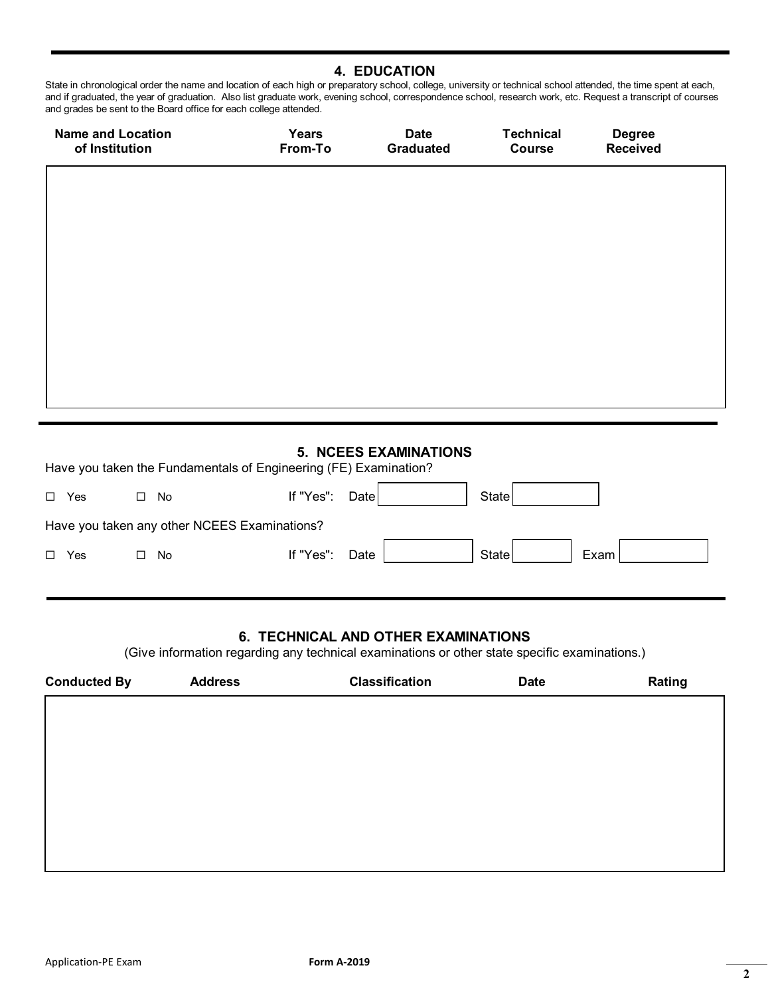## **4. EDUCATION**

State in chronological order the name and location of each high or preparatory school, college, university or technical school attended, the time spent at each, and if graduated, the year of graduation. Also list graduate work, evening school, correspondence school, research work, etc. Request a transcript of courses and grades be sent to the Board office for each college attended.

| <b>Name and Location</b><br>of Institution | Years<br>From-To | <b>Date</b><br>Graduated | <b>Technical</b><br><b>Course</b> | <b>Degree</b><br><b>Received</b> |
|--------------------------------------------|------------------|--------------------------|-----------------------------------|----------------------------------|
|                                            |                  |                          |                                   |                                  |
|                                            |                  |                          |                                   |                                  |
|                                            |                  |                          |                                   |                                  |
|                                            |                  |                          |                                   |                                  |
|                                            |                  |                          |                                   |                                  |
|                                            |                  |                          |                                   |                                  |

## **5. NCEES EXAMINATIONS**

Have you taken the Fundamentals of Engineering (FE) Examination?

| $\square$ Yes | $\square$ No |                                              | If "Yes": Date |  | State |      |  |
|---------------|--------------|----------------------------------------------|----------------|--|-------|------|--|
|               |              | Have you taken any other NCEES Examinations? |                |  |       |      |  |
| $\Box$ Yes    |              | $\square$ No                                 | If "Yes": Date |  | State | Exam |  |

## **6. TECHNICAL AND OTHER EXAMINATIONS**

(Give information regarding any technical examinations or other state specific examinations.)

| <b>Conducted By</b> | <b>Address</b> | <b>Classification</b> | <b>Date</b> | Rating |
|---------------------|----------------|-----------------------|-------------|--------|
|                     |                |                       |             |        |
|                     |                |                       |             |        |
|                     |                |                       |             |        |
|                     |                |                       |             |        |
|                     |                |                       |             |        |
|                     |                |                       |             |        |
|                     |                |                       |             |        |
|                     |                |                       |             |        |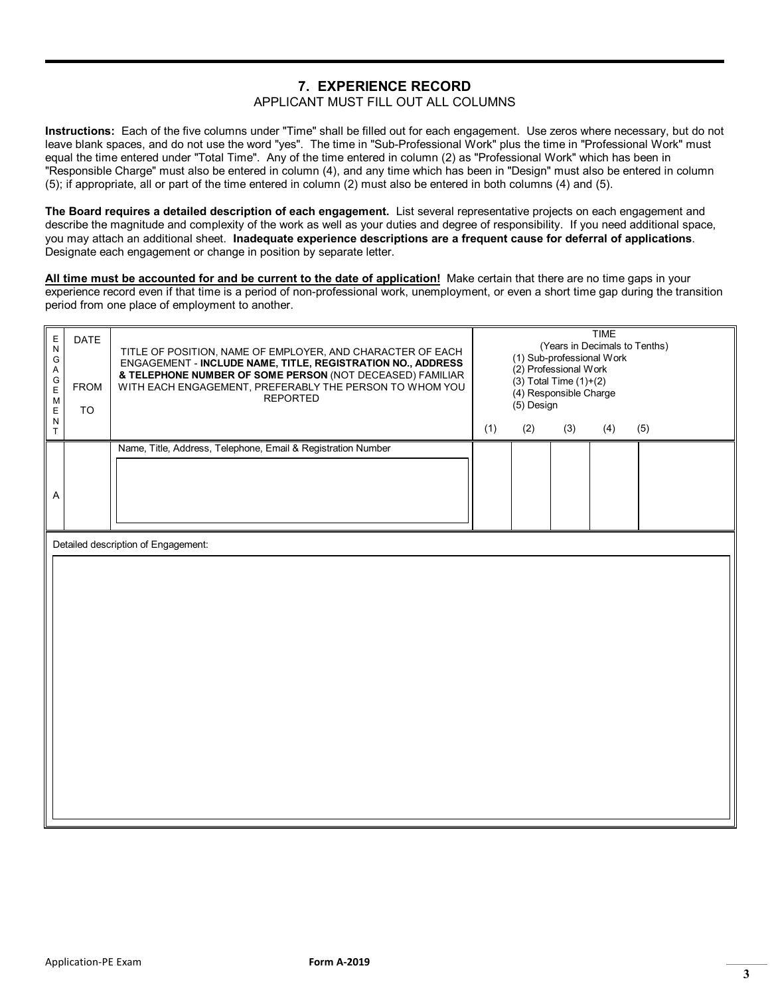## **7. EXPERIENCE RECORD** APPLICANT MUST FILL OUT ALL COLUMNS

**Instructions:** Each of the five columns under "Time" shall be filled out for each engagement. Use zeros where necessary, but do not leave blank spaces, and do not use the word "yes". The time in "Sub-Professional Work" plus the time in "Professional Work" must equal the time entered under "Total Time". Any of the time entered in column (2) as "Professional Work" which has been in "Responsible Charge" must also be entered in column (4), and any time which has been in "Design" must also be entered in column (5); if appropriate, all or part of the time entered in column (2) must also be entered in both columns (4) and (5).

**The Board requires a detailed description of each engagement.** List several representative projects on each engagement and describe the magnitude and complexity of the work as well as your duties and degree of responsibility. If you need additional space, you may attach an additional sheet. **Inadequate experience descriptions are a frequent cause for deferral of applications**. Designate each engagement or change in position by separate letter.

**All time must be accounted for and be current to the date of application!** Make certain that there are no time gaps in your experience record even if that time is a period of non-professional work, unemployment, or even a short time gap during the transition period from one place of employment to another.

| $\frac{E}{N}$<br>G<br>Α<br>G<br>E<br>${\sf M}$<br>E | DATE<br><b>FROM</b><br><b>TO</b> | TITLE OF POSITION, NAME OF EMPLOYER, AND CHARACTER OF EACH<br>ENGAGEMENT - INCLUDE NAME, TITLE, REGISTRATION NO., ADDRESS<br>& TELEPHONE NUMBER OF SOME PERSON (NOT DECEASED) FAMILIAR<br>WITH EACH ENGAGEMENT, PREFERABLY THE PERSON TO WHOM YOU<br><b>REPORTED</b> |     | (2) Professional Work<br>$(3)$ Total Time $(1)+(2)$<br>(4) Responsible Charge<br>(5) Design |     | <b>TIME</b><br>(Years in Decimals to Tenths)<br>(1) Sub-professional Work |     |  |
|-----------------------------------------------------|----------------------------------|----------------------------------------------------------------------------------------------------------------------------------------------------------------------------------------------------------------------------------------------------------------------|-----|---------------------------------------------------------------------------------------------|-----|---------------------------------------------------------------------------|-----|--|
| ${\sf N}$<br>T                                      |                                  |                                                                                                                                                                                                                                                                      | (1) | (2)                                                                                         | (3) | (4)                                                                       | (5) |  |
| Α                                                   |                                  | Name, Title, Address, Telephone, Email & Registration Number                                                                                                                                                                                                         |     |                                                                                             |     |                                                                           |     |  |
|                                                     |                                  | Detailed description of Engagement:                                                                                                                                                                                                                                  |     |                                                                                             |     |                                                                           |     |  |
|                                                     |                                  |                                                                                                                                                                                                                                                                      |     |                                                                                             |     |                                                                           |     |  |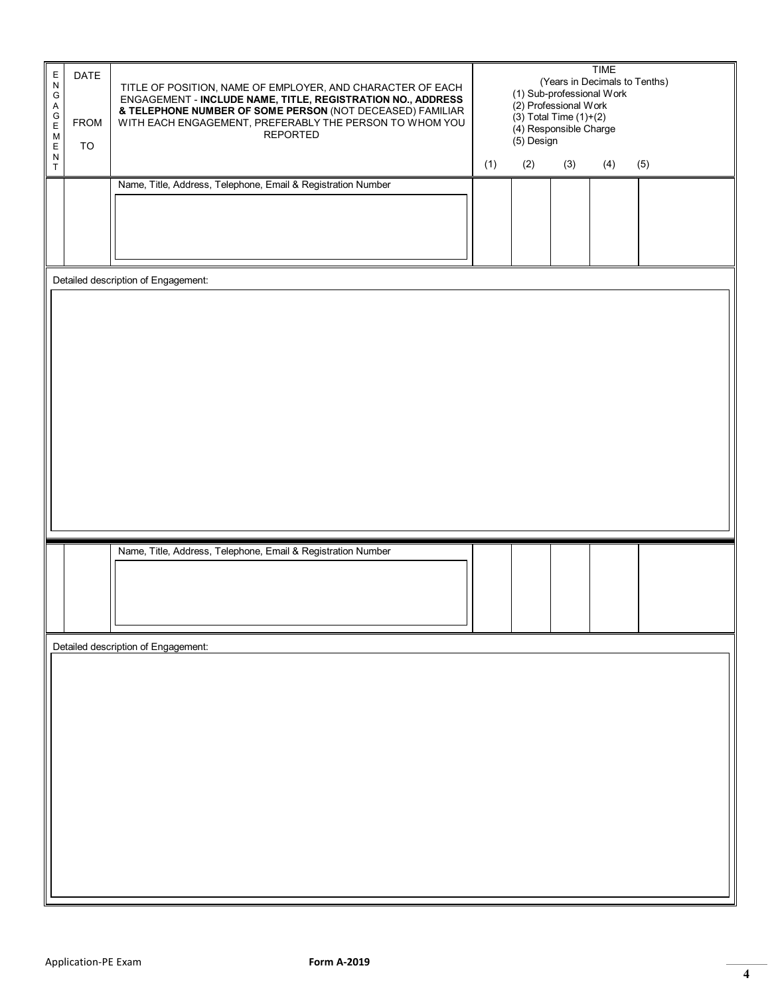| $\frac{\mathsf{E}}{\mathsf{N}}$<br>$\mathsf G$<br>A<br>G<br>E<br>M<br>$\frac{E}{N}$ | DATE<br><b>FROM</b><br>TO | TITLE OF POSITION, NAME OF EMPLOYER, AND CHARACTER OF EACH<br>ENGAGEMENT - INCLUDE NAME, TITLE, REGISTRATION NO., ADDRESS<br>& TELEPHONE NUMBER OF SOME PERSON (NOT DECEASED) FAMILIAR<br>WITH EACH ENGAGEMENT, PREFERABLY THE PERSON TO WHOM YOU<br>REPORTED | (1) Sub-professional Work<br>(2) Professional Work<br>$(3)$ Total Time $(1)+(2)$<br>(4) Responsible Charge<br>(5) Design |     |     |     |     |  |
|-------------------------------------------------------------------------------------|---------------------------|---------------------------------------------------------------------------------------------------------------------------------------------------------------------------------------------------------------------------------------------------------------|--------------------------------------------------------------------------------------------------------------------------|-----|-----|-----|-----|--|
| $\mathsf T$                                                                         |                           |                                                                                                                                                                                                                                                               | (1)                                                                                                                      | (2) | (3) | (4) | (5) |  |
|                                                                                     |                           | Name, Title, Address, Telephone, Email & Registration Number                                                                                                                                                                                                  |                                                                                                                          |     |     |     |     |  |
|                                                                                     |                           |                                                                                                                                                                                                                                                               |                                                                                                                          |     |     |     |     |  |
|                                                                                     |                           |                                                                                                                                                                                                                                                               |                                                                                                                          |     |     |     |     |  |
|                                                                                     |                           |                                                                                                                                                                                                                                                               |                                                                                                                          |     |     |     |     |  |
|                                                                                     |                           | Detailed description of Engagement:                                                                                                                                                                                                                           |                                                                                                                          |     |     |     |     |  |
|                                                                                     |                           |                                                                                                                                                                                                                                                               |                                                                                                                          |     |     |     |     |  |
|                                                                                     |                           |                                                                                                                                                                                                                                                               |                                                                                                                          |     |     |     |     |  |
|                                                                                     |                           |                                                                                                                                                                                                                                                               |                                                                                                                          |     |     |     |     |  |
|                                                                                     |                           |                                                                                                                                                                                                                                                               |                                                                                                                          |     |     |     |     |  |
|                                                                                     |                           |                                                                                                                                                                                                                                                               |                                                                                                                          |     |     |     |     |  |
|                                                                                     |                           |                                                                                                                                                                                                                                                               |                                                                                                                          |     |     |     |     |  |
|                                                                                     |                           |                                                                                                                                                                                                                                                               |                                                                                                                          |     |     |     |     |  |
|                                                                                     |                           |                                                                                                                                                                                                                                                               |                                                                                                                          |     |     |     |     |  |
|                                                                                     |                           |                                                                                                                                                                                                                                                               |                                                                                                                          |     |     |     |     |  |
|                                                                                     |                           |                                                                                                                                                                                                                                                               |                                                                                                                          |     |     |     |     |  |
|                                                                                     |                           |                                                                                                                                                                                                                                                               |                                                                                                                          |     |     |     |     |  |
|                                                                                     |                           |                                                                                                                                                                                                                                                               |                                                                                                                          |     |     |     |     |  |
|                                                                                     |                           | Name, Title, Address, Telephone, Email & Registration Number                                                                                                                                                                                                  |                                                                                                                          |     |     |     |     |  |
|                                                                                     |                           |                                                                                                                                                                                                                                                               |                                                                                                                          |     |     |     |     |  |
|                                                                                     |                           |                                                                                                                                                                                                                                                               |                                                                                                                          |     |     |     |     |  |
|                                                                                     |                           |                                                                                                                                                                                                                                                               |                                                                                                                          |     |     |     |     |  |
|                                                                                     |                           | Detailed description of Engagement:                                                                                                                                                                                                                           |                                                                                                                          |     |     |     |     |  |
|                                                                                     |                           |                                                                                                                                                                                                                                                               |                                                                                                                          |     |     |     |     |  |
|                                                                                     |                           |                                                                                                                                                                                                                                                               |                                                                                                                          |     |     |     |     |  |
|                                                                                     |                           |                                                                                                                                                                                                                                                               |                                                                                                                          |     |     |     |     |  |
|                                                                                     |                           |                                                                                                                                                                                                                                                               |                                                                                                                          |     |     |     |     |  |
|                                                                                     |                           |                                                                                                                                                                                                                                                               |                                                                                                                          |     |     |     |     |  |
|                                                                                     |                           |                                                                                                                                                                                                                                                               |                                                                                                                          |     |     |     |     |  |
|                                                                                     |                           |                                                                                                                                                                                                                                                               |                                                                                                                          |     |     |     |     |  |
|                                                                                     |                           |                                                                                                                                                                                                                                                               |                                                                                                                          |     |     |     |     |  |
|                                                                                     |                           |                                                                                                                                                                                                                                                               |                                                                                                                          |     |     |     |     |  |
|                                                                                     |                           |                                                                                                                                                                                                                                                               |                                                                                                                          |     |     |     |     |  |
|                                                                                     |                           |                                                                                                                                                                                                                                                               |                                                                                                                          |     |     |     |     |  |
|                                                                                     |                           |                                                                                                                                                                                                                                                               |                                                                                                                          |     |     |     |     |  |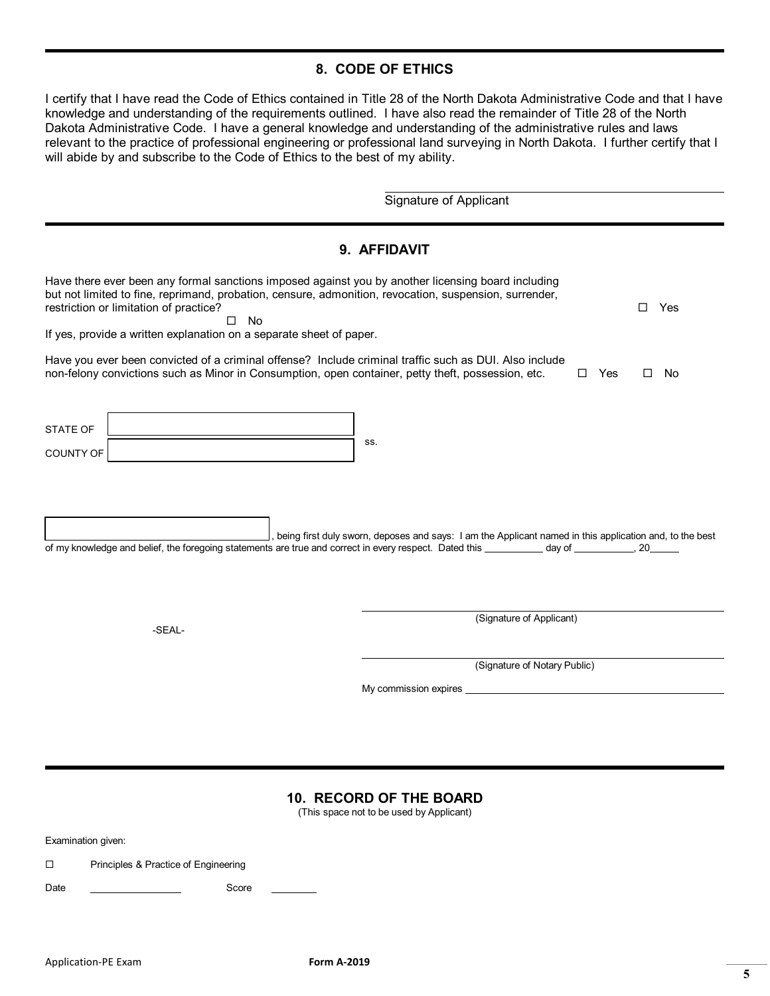## **8. CODE OF ETHICS**

I certify that I have read the Code of Ethics contained in Title 28 of the North Dakota Administrative Code and that I have knowledge and understanding of the requirements outlined. I have also read the remainder of Title 28 of the North Dakota Administrative Code. I have a general knowledge and understanding of the administrative rules and laws relevant to the practice of professional engineering or professional land surveying in North Dakota. I further certify that I will abide by and subscribe to the Code of Ethics to the best of my ability.

|                                                                                                                                                                                                                                                                                                                                               | Signature of Applicant                                                                                                                                                                                                                                    |
|-----------------------------------------------------------------------------------------------------------------------------------------------------------------------------------------------------------------------------------------------------------------------------------------------------------------------------------------------|-----------------------------------------------------------------------------------------------------------------------------------------------------------------------------------------------------------------------------------------------------------|
|                                                                                                                                                                                                                                                                                                                                               | 9. AFFIDAVIT                                                                                                                                                                                                                                              |
| Have there ever been any formal sanctions imposed against you by another licensing board including<br>but not limited to fine, reprimand, probation, censure, admonition, revocation, suspension, surrender,<br>restriction or limitation of practice?<br>$\square$ No<br>If yes, provide a written explanation on a separate sheet of paper. | □<br>Yes                                                                                                                                                                                                                                                  |
| Have you ever been convicted of a criminal offense? Include criminal traffic such as DUI. Also include<br>non-felony convictions such as Minor in Consumption, open container, petty theft, possession, etc.                                                                                                                                  | Yes<br>No<br>□<br>□                                                                                                                                                                                                                                       |
| <b>STATE OF</b><br>COUNTY OF                                                                                                                                                                                                                                                                                                                  | SS.                                                                                                                                                                                                                                                       |
|                                                                                                                                                                                                                                                                                                                                               | , being first duly sworn, deposes and says: I am the Applicant named in this application and, to the best<br>of my knowledge and belief, the foregoing statements are true and correct in every respect. Dated this __________ day of __________, 20_____ |
| -SEAL-                                                                                                                                                                                                                                                                                                                                        | (Signature of Applicant)                                                                                                                                                                                                                                  |
|                                                                                                                                                                                                                                                                                                                                               | (Signature of Notary Public)                                                                                                                                                                                                                              |
|                                                                                                                                                                                                                                                                                                                                               |                                                                                                                                                                                                                                                           |
|                                                                                                                                                                                                                                                                                                                                               | 10. RECORD OF THE BOARD<br>(This space not to be used by Applicant)                                                                                                                                                                                       |
|                                                                                                                                                                                                                                                                                                                                               |                                                                                                                                                                                                                                                           |
| Examination given:<br>Principles & Practice of Engineering<br>$\Box$                                                                                                                                                                                                                                                                          |                                                                                                                                                                                                                                                           |
| Score<br>Date                                                                                                                                                                                                                                                                                                                                 |                                                                                                                                                                                                                                                           |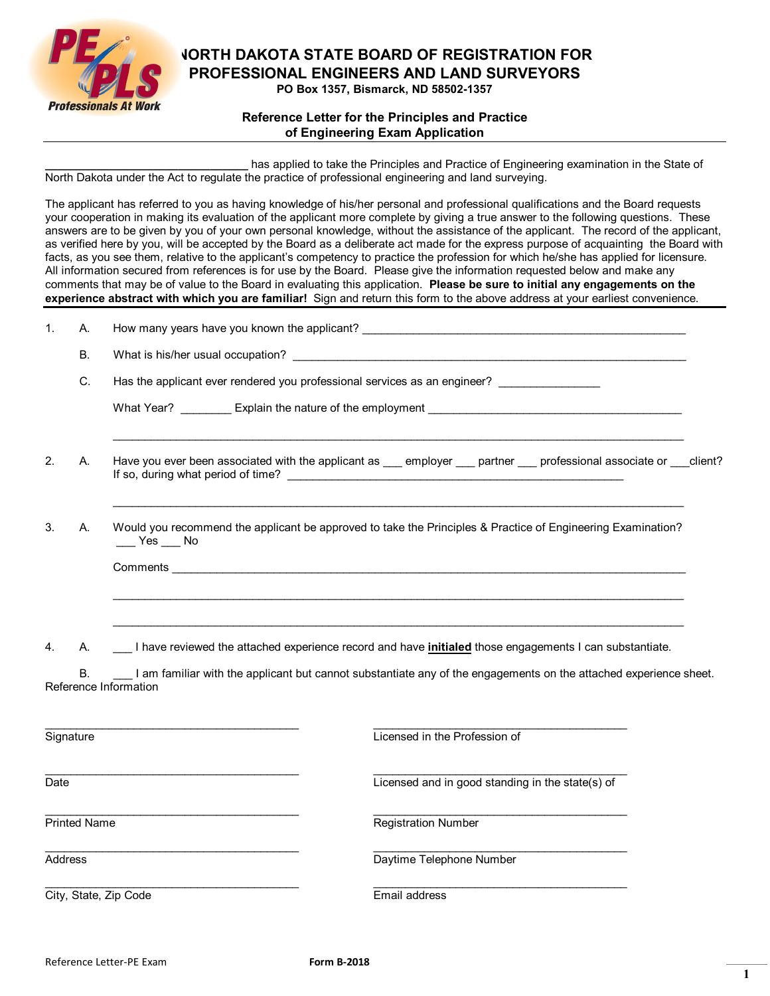

## **NORTH DAKOTA STATE BOARD OF REGISTRATION FOR PROFESSIONAL ENGINEERS AND LAND SURVEYORS**

**PO Box 1357, Bismarck, ND 58502-1357**

## **Reference Letter for the Principles and Practice of Engineering Exam Application**

**\_\_\_\_\_\_\_\_\_\_\_\_\_\_\_\_\_\_\_\_\_\_\_\_\_\_\_\_\_\_\_\_** has applied to take the Principles and Practice of Engineering examination in the State of North Dakota under the Act to regulate the practice of professional engineering and land surveying.

The applicant has referred to you as having knowledge of his/her personal and professional qualifications and the Board requests your cooperation in making its evaluation of the applicant more complete by giving a true answer to the following questions. These answers are to be given by you of your own personal knowledge, without the assistance of the applicant. The record of the applicant, as verified here by you, will be accepted by the Board as a deliberate act made for the express purpose of acquainting the Board with facts, as you see them, relative to the applicant's competency to practice the profession for which he/she has applied for licensure. All information secured from references is for use by the Board. Please give the information requested below and make any comments that may be of value to the Board in evaluating this application. **Please be sure to initial any engagements on the experience abstract with which you are familiar!** Sign and return this form to the above address at your earliest convenience.

| А.        | How many years have you known the applicant? Letter the control of the control of the control of the control of |                                                                                                                                                                                                                                                                                                                                                                                                                                                                                                                                                                                                                      |
|-----------|-----------------------------------------------------------------------------------------------------------------|----------------------------------------------------------------------------------------------------------------------------------------------------------------------------------------------------------------------------------------------------------------------------------------------------------------------------------------------------------------------------------------------------------------------------------------------------------------------------------------------------------------------------------------------------------------------------------------------------------------------|
| В.        |                                                                                                                 |                                                                                                                                                                                                                                                                                                                                                                                                                                                                                                                                                                                                                      |
| C.        | Has the applicant ever rendered you professional services as an engineer?                                       |                                                                                                                                                                                                                                                                                                                                                                                                                                                                                                                                                                                                                      |
|           |                                                                                                                 |                                                                                                                                                                                                                                                                                                                                                                                                                                                                                                                                                                                                                      |
| Α.        |                                                                                                                 |                                                                                                                                                                                                                                                                                                                                                                                                                                                                                                                                                                                                                      |
| А.        | $Yes$ No                                                                                                        |                                                                                                                                                                                                                                                                                                                                                                                                                                                                                                                                                                                                                      |
|           |                                                                                                                 |                                                                                                                                                                                                                                                                                                                                                                                                                                                                                                                                                                                                                      |
|           |                                                                                                                 |                                                                                                                                                                                                                                                                                                                                                                                                                                                                                                                                                                                                                      |
|           |                                                                                                                 |                                                                                                                                                                                                                                                                                                                                                                                                                                                                                                                                                                                                                      |
|           |                                                                                                                 |                                                                                                                                                                                                                                                                                                                                                                                                                                                                                                                                                                                                                      |
| Signature | Licensed in the Profession of                                                                                   |                                                                                                                                                                                                                                                                                                                                                                                                                                                                                                                                                                                                                      |
| Date      |                                                                                                                 |                                                                                                                                                                                                                                                                                                                                                                                                                                                                                                                                                                                                                      |
|           | <b>Registration Number</b>                                                                                      |                                                                                                                                                                                                                                                                                                                                                                                                                                                                                                                                                                                                                      |
| Address   | Daytime Telephone Number                                                                                        |                                                                                                                                                                                                                                                                                                                                                                                                                                                                                                                                                                                                                      |
|           | Email address                                                                                                   |                                                                                                                                                                                                                                                                                                                                                                                                                                                                                                                                                                                                                      |
|           |                                                                                                                 | Have you ever been associated with the applicant as ___ employer ___ partner ___ professional associate or ___client?<br>Would you recommend the applicant be approved to take the Principles & Practice of Engineering Examination?<br>I have reviewed the attached experience record and have <i>initialed</i> those engagements I can substantiate.<br>А.<br>I am familiar with the applicant but cannot substantiate any of the engagements on the attached experience sheet.<br>В.<br>Reference Information<br>Licensed and in good standing in the state(s) of<br><b>Printed Name</b><br>City, State, Zip Code |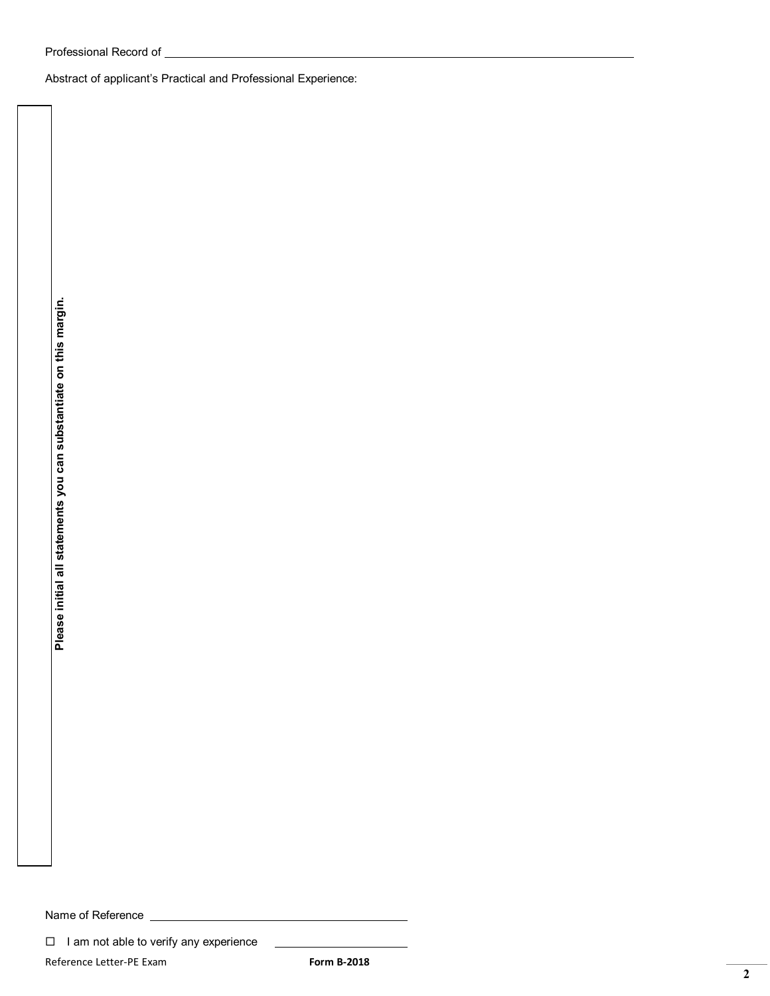Abstract of applicant's Practical and Professional Experience:

**I am notable to verify any experience**<br>
Please initial all statements you can substantiate on this margin.<br>
■ I am not able to verify any experience

Name of Reference \_

Reference Letter-PE Exam **Form B-2018**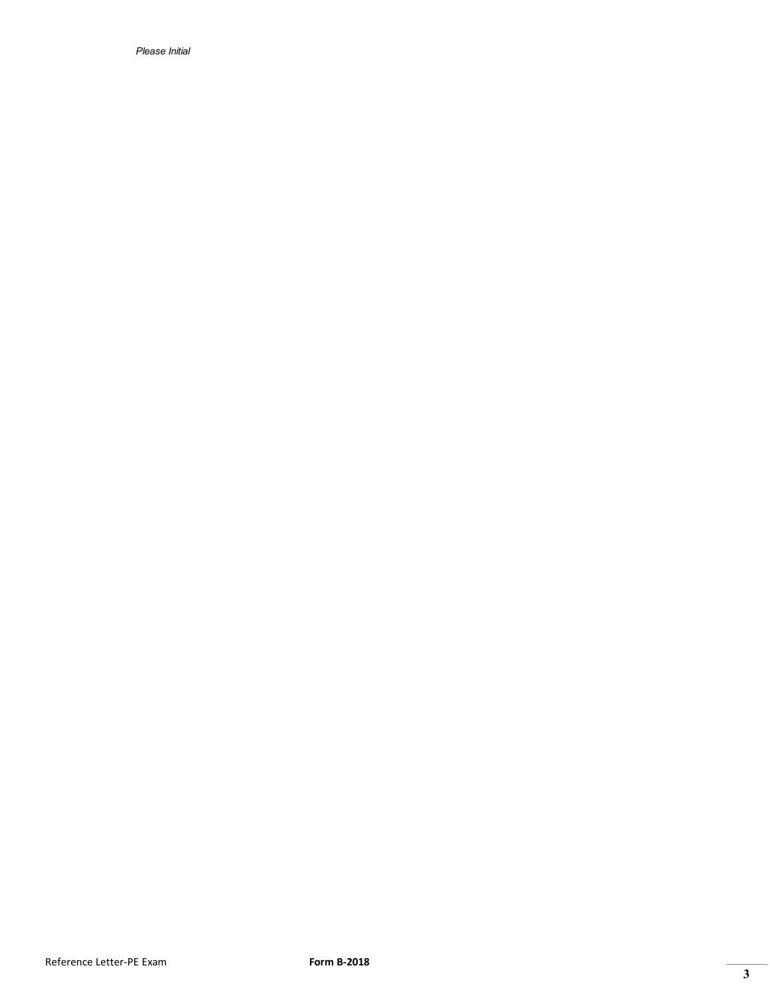*Please Initial*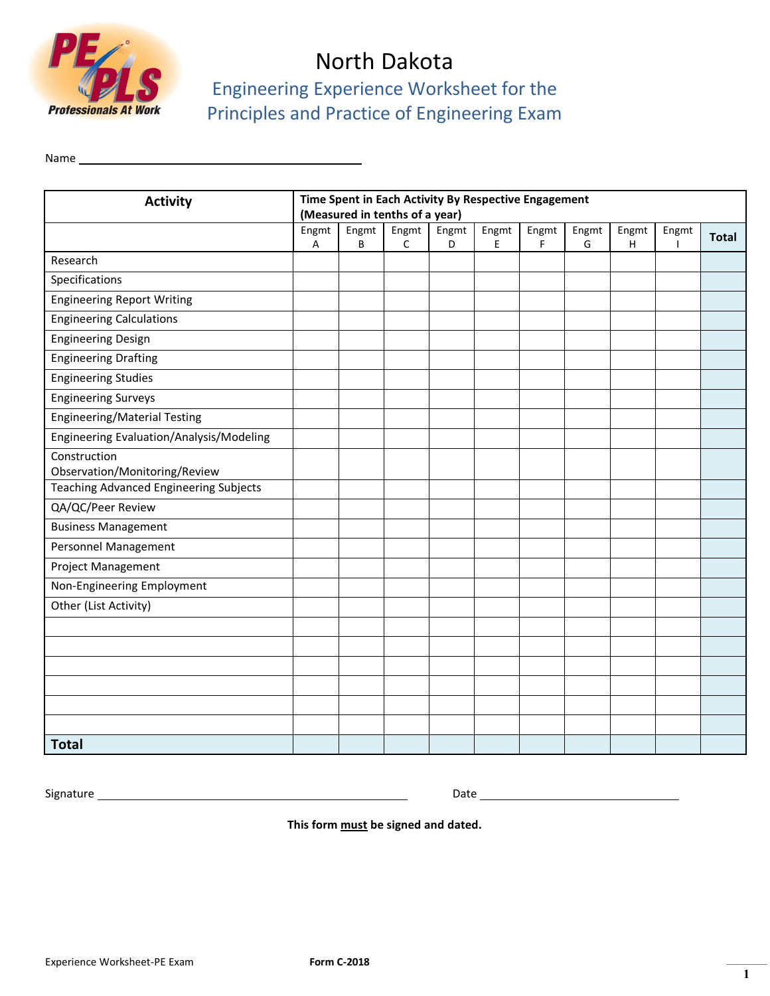

# North Dakota

Engineering Experience Worksheet for the Principles and Practice of Engineering Exam

Name

| <b>Activity</b>                               |            | (Measured in tenths of a year) |            |            | Time Spent in Each Activity By Respective Engagement |            |            |            |       |              |
|-----------------------------------------------|------------|--------------------------------|------------|------------|------------------------------------------------------|------------|------------|------------|-------|--------------|
|                                               | Engmt<br>А | Engmt<br>B                     | Engmt<br>C | Engmt<br>D | Engmt<br>E                                           | Engmt<br>F | Engmt<br>G | Engmt<br>н | Engmt | <b>Total</b> |
| Research                                      |            |                                |            |            |                                                      |            |            |            |       |              |
| Specifications                                |            |                                |            |            |                                                      |            |            |            |       |              |
| <b>Engineering Report Writing</b>             |            |                                |            |            |                                                      |            |            |            |       |              |
| <b>Engineering Calculations</b>               |            |                                |            |            |                                                      |            |            |            |       |              |
| <b>Engineering Design</b>                     |            |                                |            |            |                                                      |            |            |            |       |              |
| <b>Engineering Drafting</b>                   |            |                                |            |            |                                                      |            |            |            |       |              |
| <b>Engineering Studies</b>                    |            |                                |            |            |                                                      |            |            |            |       |              |
| <b>Engineering Surveys</b>                    |            |                                |            |            |                                                      |            |            |            |       |              |
| <b>Engineering/Material Testing</b>           |            |                                |            |            |                                                      |            |            |            |       |              |
| Engineering Evaluation/Analysis/Modeling      |            |                                |            |            |                                                      |            |            |            |       |              |
| Construction<br>Observation/Monitoring/Review |            |                                |            |            |                                                      |            |            |            |       |              |
| <b>Teaching Advanced Engineering Subjects</b> |            |                                |            |            |                                                      |            |            |            |       |              |
| QA/QC/Peer Review                             |            |                                |            |            |                                                      |            |            |            |       |              |
| <b>Business Management</b>                    |            |                                |            |            |                                                      |            |            |            |       |              |
| Personnel Management                          |            |                                |            |            |                                                      |            |            |            |       |              |
| Project Management                            |            |                                |            |            |                                                      |            |            |            |       |              |
| Non-Engineering Employment                    |            |                                |            |            |                                                      |            |            |            |       |              |
| Other (List Activity)                         |            |                                |            |            |                                                      |            |            |            |       |              |
|                                               |            |                                |            |            |                                                      |            |            |            |       |              |
|                                               |            |                                |            |            |                                                      |            |            |            |       |              |
|                                               |            |                                |            |            |                                                      |            |            |            |       |              |
|                                               |            |                                |            |            |                                                      |            |            |            |       |              |
|                                               |            |                                |            |            |                                                      |            |            |            |       |              |
|                                               |            |                                |            |            |                                                      |            |            |            |       |              |
| <b>Total</b>                                  |            |                                |            |            |                                                      |            |            |            |       |              |

Signature Date

**This form must be signed and dated.**